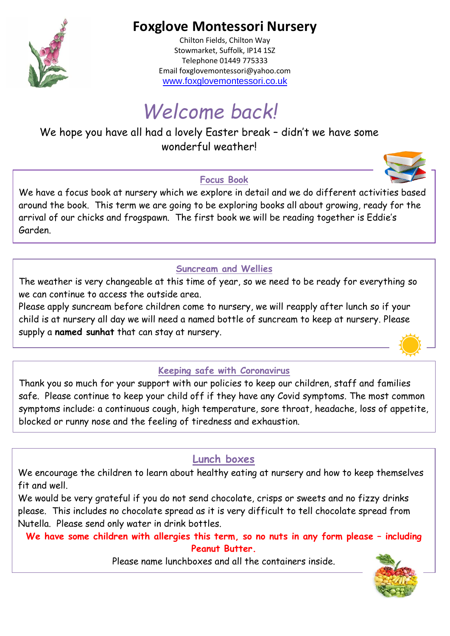

## **Foxglove Montessori Nursery**

Chilton Fields, Chilton Way Stowmarket, Suffolk, IP14 1SZ Telephone 01449 775333 Email foxglovemontessori@yahoo.com [www.foxglovemontessori.co.uk](http://www.foxglovemontessori.co.uk/)

# *Welcome back!*

We hope you have all had a lovely Easter break – didn't we have some wonderful weather!

## **Focus Book**

We have a focus book at nursery which we explore in detail and we do different activities based around the book. This term we are going to be exploring books all about growing, ready for the arrival of our chicks and frogspawn. The first book we will be reading together is Eddie's Garden.

## **Suncream and Wellies**

The weather is very changeable at this time of year, so we need to be ready for everything so we can continue to access the outside area.

Please apply suncream before children come to nursery, we will reapply after lunch so if your child is at nursery all day we will need a named bottle of suncream to keep at nursery. Please supply a **named sunhat** that can stay at nursery.

## **Keeping safe with Coronavirus**

Thank you so much for your support with our policies to keep our children, staff and families safe. Please continue to keep your child off if they have any Covid symptoms. The most common symptoms include: a continuous cough, high temperature, sore throat, headache, loss of appetite, blocked or runny nose and the feeling of tiredness and exhaustion.

## **Lunch boxes**

We encourage the children to learn about healthy eating at nursery and how to keep themselves fit and well.

We would be very grateful if you do not send chocolate, crisps or sweets and no fizzy drinks please. This includes no chocolate spread as it is very difficult to tell chocolate spread from Nutella. Please send only water in drink bottles.

**We have some children with allergies this term, so no nuts in any form please – including Peanut Butter.**

Please name lunchboxes and all the containers inside.



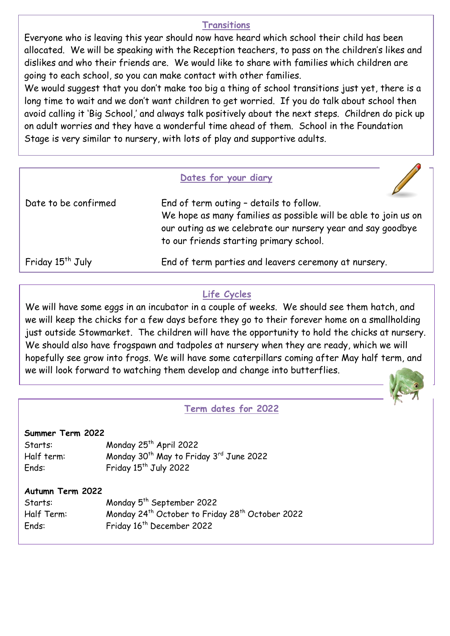#### **Transitions**

Everyone who is leaving this year should now have heard which school their child has been allocated. We will be speaking with the Reception teachers, to pass on the children's likes and dislikes and who their friends are. We would like to share with families which children are going to each school, so you can make contact with other families.

We would suggest that you don't make too big a thing of school transitions just yet, there is a long time to wait and we don't want children to get worried. If you do talk about school then avoid calling it 'Big School,' and always talk positively about the next steps. Children do pick up on adult worries and they have a wonderful time ahead of them. School in the Foundation Stage is very similar to nursery, with lots of play and supportive adults.

#### **Dates for your diary**

| Date to be confirmed         | End of term outing - details to follow.<br>We hope as many families as possible will be able to join us on<br>our outing as we celebrate our nursery year and say goodbye<br>to our friends starting primary school. |
|------------------------------|----------------------------------------------------------------------------------------------------------------------------------------------------------------------------------------------------------------------|
| Friday 15 <sup>th</sup> July | End of term parties and leavers ceremony at nursery.                                                                                                                                                                 |

#### **Life Cycles**

We will have some eggs in an incubator in a couple of weeks. We should see them hatch, and we will keep the chicks for a few days before they go to their forever home on a smallholding just outside Stowmarket. The children will have the opportunity to hold the chicks at nursery. We should also have frogspawn and tadpoles at nursery when they are ready, which we will hopefully see grow into frogs. We will have some caterpillars coming after May half term, and we will look forward to watching them develop and change into butterflies.



## **Term dates for 2022**

#### **Summer Term 2022**

| Starts:    | Monday 25 <sup>th</sup> April 2022                              |
|------------|-----------------------------------------------------------------|
| Half term: | Monday 30 <sup>th</sup> May to Friday 3 <sup>rd</sup> June 2022 |
| Ends:      | Friday $15^{th}$ July 2022                                      |

#### **Autumn Term 2022**

| Starts:    | Monday 5 <sup>th</sup> September 2022                                   |
|------------|-------------------------------------------------------------------------|
| Half Term: | Monday 24 <sup>th</sup> October to Friday 28 <sup>th</sup> October 2022 |
| Ends:      | Friday 16 <sup>th</sup> December 2022                                   |